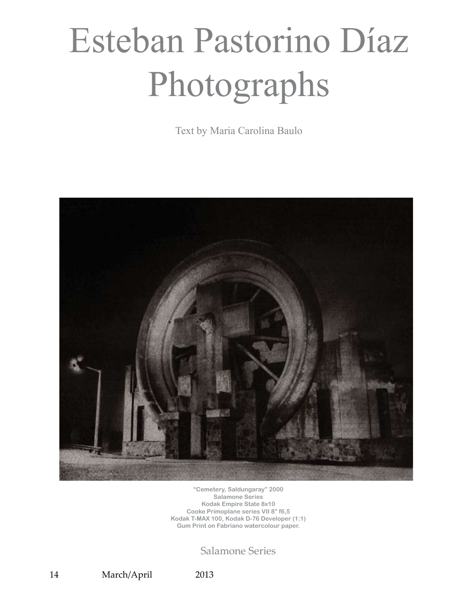## Esteban Pastorino Díaz Photographs

Text by Maria Carolina Baulo



**"Cemetery, Saldungaray" 2000 Salamone Series Kodak Empire State 8x10 Cooke Primoplane series VII 8" f6,5 Kodak T-MAX 100, Kodak D-76 Developer (1:1) Gum Print on Fabriano watercolour paper.**

Salamone Series

14 March/April 2013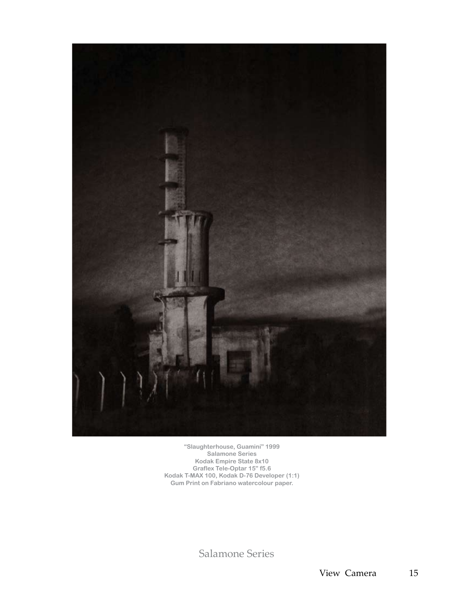

**"Slaughterhouse, Guaminí" 1999 Salamone Series Kodak Empire State 8x10 Graflex Tele-Optar 15" f5.6 Kodak T-MAX 100, Kodak D-76 Developer (1:1) Gum Print on Fabriano watercolour paper.**

Salamone Series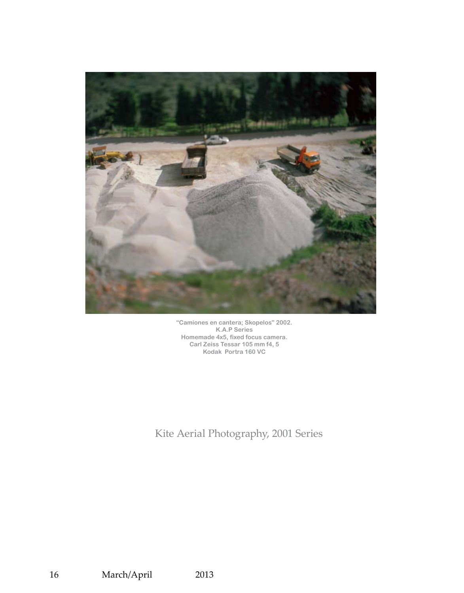

**"Camiones en cantera; Skopelos" 2002. K.A.P Series Homemade 4x5, fixed focus camera. Carl Zeiss Tessar 105 mm f4, 5 Kodak Portra 160 VC**

Kite Aerial Photography, 2001 Series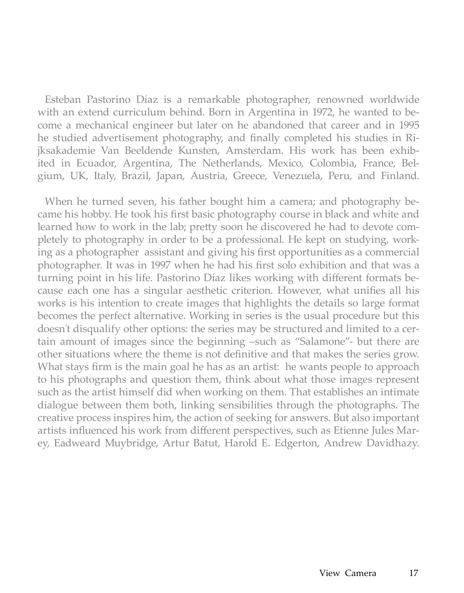Esteban Pastorino Díaz is a remarkable photographer, renowned worldwide with an extend curriculum behind. Born in Argentina in 1972, he wanted to become a mechanical engineer but later on he abandoned that career and in 1995 he studied advertisement photography, and finally completed his studies in Rijksakademie Van Beeldende Kunsten, Amsterdam. His work has been exhibited in Ecuador, Argentina, The Netherlands, Mexico, Colombia, France, Belgium, UK, Italy, Brazil, Japan, Austria, Greece, Venezuela, Peru, and Finland.

When he turned seven, his father bought him a camera; and photography became his hobby. He took his first basic photography course in black and white and learned how to work in the lab; pretty soon he discovered he had to devote completely to photography in order to be a professional. He kept on studying, working as a photographer assistant and giving his first opportunities as a commercial photographer. It was in 1997 when he had his first solo exhibition and that was a turning point in his life. Pastorino Díaz likes working with different formats because each one has a singular aesthetic criterion. However, what unifies all his works is his intention to create images that highlights the details so large format becomes the perfect alternative. Working in series is the usual procedure but this doesn´t disqualify other options: the series may be structured and limited to a certain amount of images since the beginning –such as "Salamone"- but there are other situations where the theme is not definitive and that makes the series grow. What stays firm is the main goal he has as an artist: he wants people to approach to his photographs and question them, think about what those images represent such as the artist himself did when working on them. That establishes an intimate dialogue between them both, linking sensibilities through the photographs. The creative process inspires him, the action of seeking for answers. But also important artists influenced his work from different perspectives, such as Etienne Jules Marey, Eadweard Muybridge, Artur Batut, Harold E. Edgerton, Andrew Davidhazy.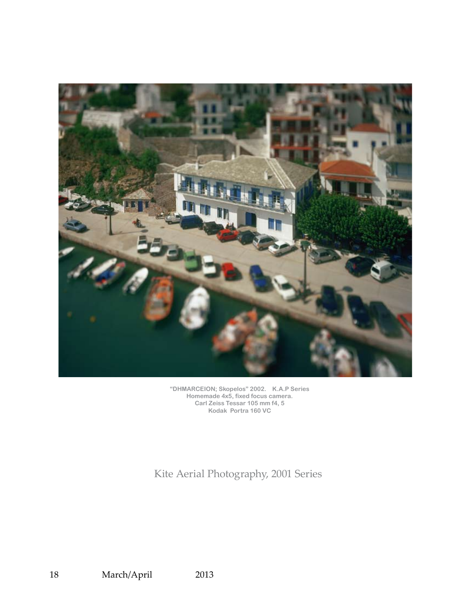

**"DHMARCEION; Skopelos" 2002. K.A.P Series Homemade 4x5, fixed focus camera. Carl Zeiss Tessar 105 mm f4, 5 Kodak Portra 160 VC**

Kite Aerial Photography, 2001 Series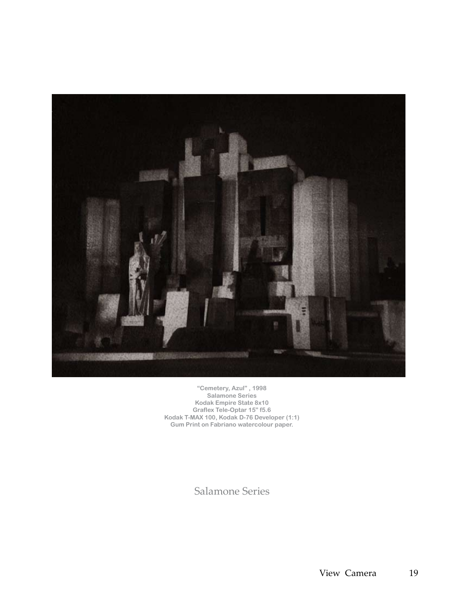

**"Cemetery, Azul" , 1998 Salamone Series Kodak Empire State 8x10 Graflex Tele-Optar 15" f5.6 Kodak T-MAX 100, Kodak D-76 Developer (1:1) Gum Print on Fabriano watercolour paper.**

Salamone Series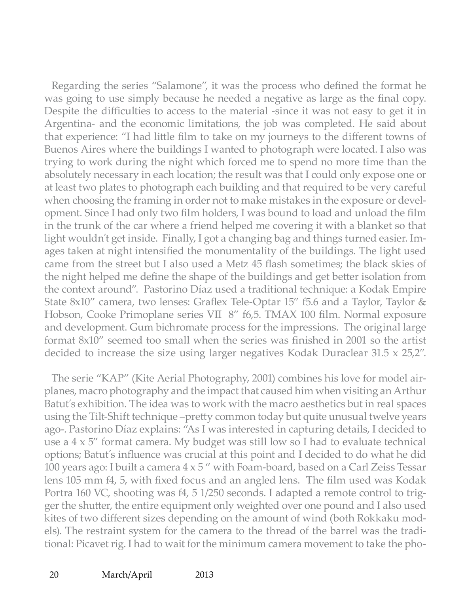Regarding the series "Salamone", it was the process who defined the format he was going to use simply because he needed a negative as large as the final copy. Despite the difficulties to access to the material -since it was not easy to get it in Argentina- and the economic limitations, the job was completed. He said about that experience: "I had little film to take on my journeys to the different towns of Buenos Aires where the buildings I wanted to photograph were located. I also was trying to work during the night which forced me to spend no more time than the absolutely necessary in each location; the result was that I could only expose one or at least two plates to photograph each building and that required to be very careful when choosing the framing in order not to make mistakes in the exposure or development. Since I had only two film holders, I was bound to load and unload the film in the trunk of the car where a friend helped me covering it with a blanket so that light wouldn´t get inside. Finally, I got a changing bag and things turned easier. Images taken at night intensified the monumentality of the buildings. The light used came from the street but I also used a Metz 45 flash sometimes; the black skies of the night helped me define the shape of the buildings and get better isolation from the context around". Pastorino Díaz used a traditional technique: a Kodak Empire State 8x10" camera, two lenses: Graflex Tele-Optar 15" f5.6 and a Taylor, Taylor & Hobson, Cooke Primoplane series VII 8" f6,5. TMAX 100 film. Normal exposure and development. Gum bichromate process for the impressions. The original large format 8x10" seemed too small when the series was finished in 2001 so the artist decided to increase the size using larger negatives Kodak Duraclear 31.5 x 25,2".

The serie "KAP" (Kite Aerial Photography, 2001) combines his love for model airplanes, macro photography and the impact that caused him when visiting an Arthur Batut´s exhibition. The idea was to work with the macro aesthetics but in real spaces using the Tilt-Shift technique –pretty common today but quite unusual twelve years ago-. Pastorino Díaz explains: "As I was interested in capturing details, I decided to use a 4 x 5" format camera. My budget was still low so I had to evaluate technical options; Batut´s influence was crucial at this point and I decided to do what he did 100 years ago: I built a camera  $4 \times 5$  " with Foam-board, based on a Carl Zeiss Tessar lens 105 mm f4, 5, with fixed focus and an angled lens. The film used was Kodak Portra 160 VC, shooting was f4, 5 1/250 seconds. I adapted a remote control to trigger the shutter, the entire equipment only weighted over one pound and I also used kites of two different sizes depending on the amount of wind (both Rokkaku models). The restraint system for the camera to the thread of the barrel was the traditional: Picavet rig. I had to wait for the minimum camera movement to take the pho-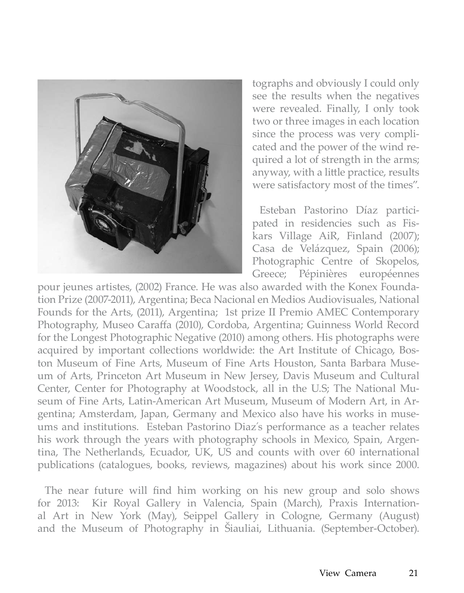

tographs and obviously I could only see the results when the negatives were revealed. Finally, I only took two or three images in each location since the process was very complicated and the power of the wind required a lot of strength in the arms; anyway, with a little practice, results were satisfactory most of the times".

Esteban Pastorino Díaz participated in residencies such as Fiskars Village AiR, Finland (2007); Casa de Velázquez, Spain (2006); Photographic Centre of Skopelos, Greece; Pépinières européennes

pour jeunes artistes, (2002) France. He was also awarded with the Konex Foundation Prize (2007-2011), Argentina; Beca Nacional en Medios Audiovisuales, National Founds for the Arts, (2011), Argentina; 1st prize II Premio AMEC Contemporary Photography, Museo Caraffa (2010), Cordoba, Argentina; Guinness World Record for the Longest Photographic Negative (2010) among others. His photographs were acquired by important collections worldwide: the Art Institute of Chicago, Boston Museum of Fine Arts, Museum of Fine Arts Houston, Santa Barbara Museum of Arts, Princeton Art Museum in New Jersey, Davis Museum and Cultural Center, Center for Photography at Woodstock, all in the U.S; The National Museum of Fine Arts, Latin-American Art Museum, Museum of Modern Art, in Argentina; Amsterdam, Japan, Germany and Mexico also have his works in museums and institutions. Esteban Pastorino Diaz´s performance as a teacher relates his work through the years with photography schools in Mexico, Spain, Argentina, The Netherlands, Ecuador, UK, US and counts with over 60 international publications (catalogues, books, reviews, magazines) about his work since 2000.

The near future will find him working on his new group and solo shows for 2013: Kir Royal Gallery in Valencia, Spain (March), Praxis International Art in New York (May), Seippel Gallery in Cologne, Germany (August) and the Museum of Photography in Šiauliai, Lithuania. (September-October).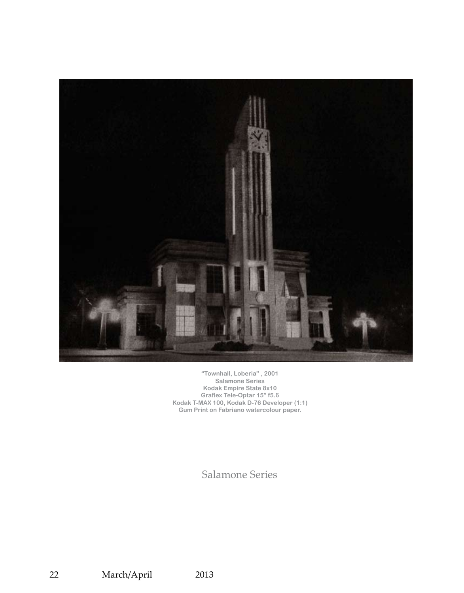

**"Townhall, Loberia" , 2001 Salamone Series Kodak Empire State 8x10 Graflex Tele-Optar 15" f5.6 Kodak T-MAX 100, Kodak D-76 Developer (1:1) Gum Print on Fabriano watercolour paper.**

Salamone Series

22 March/April 2013